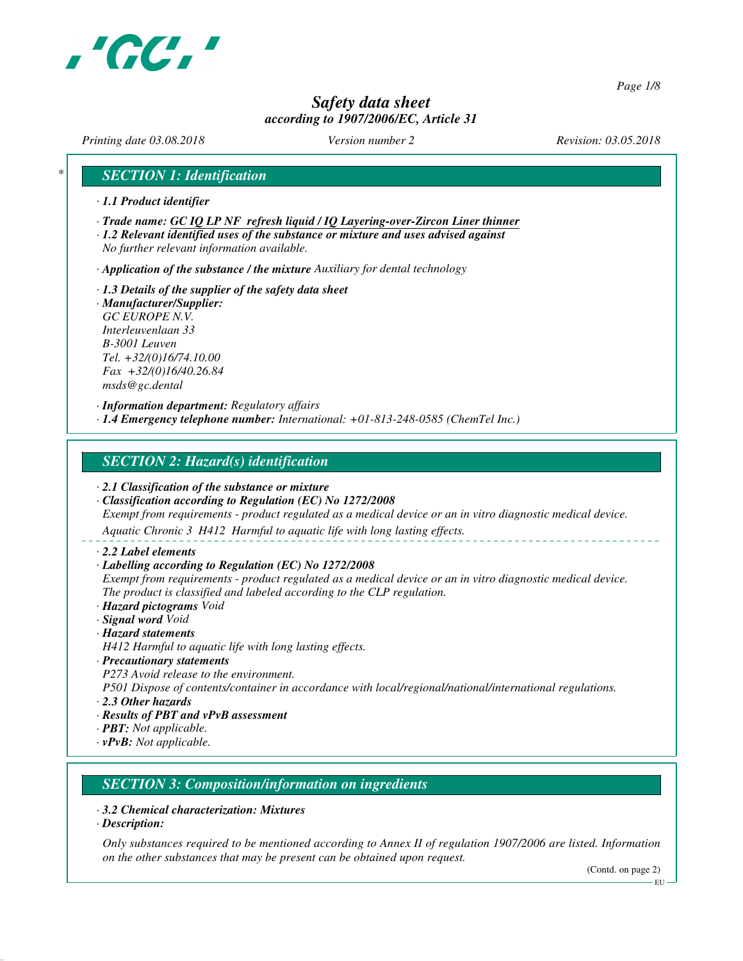

*Page 1/8*

# *Safety data sheet according to 1907/2006/EC, Article 31*

*Printing date 03.08.2018 Version number 2 Revision: 03.05.2018*

## *\* SECTION 1: Identification*

- *· 1.1 Product identifier*
- *· Trade name: GC IQ LP NF refresh liquid / IQ Layering-over-Zircon Liner thinner*
- *· 1.2 Relevant identified uses of the substance or mixture and uses advised against No further relevant information available.*
- *· Application of the substance / the mixture Auxiliary for dental technology*
- *· 1.3 Details of the supplier of the safety data sheet · Manufacturer/Supplier: GC EUROPE N.V. Interleuvenlaan 33 B-3001 Leuven Tel. +32/(0)16/74.10.00 Fax +32/(0)16/40.26.84 msds@gc.dental*
- *· Information department: Regulatory affairs · 1.4 Emergency telephone number: International: +01-813-248-0585 (ChemTel Inc.)*

## *SECTION 2: Hazard(s) identification*

- *· 2.1 Classification of the substance or mixture*
- *· Classification according to Regulation (EC) No 1272/2008*
- *Exempt from requirements product regulated as a medical device or an in vitro diagnostic medical device.*

*Aquatic Chronic 3 H412 Harmful to aquatic life with long lasting effects.*

- *· 2.2 Label elements*
- *· Labelling according to Regulation (EC) No 1272/2008*

*Exempt from requirements - product regulated as a medical device or an in vitro diagnostic medical device. The product is classified and labeled according to the CLP regulation.*

- *· Hazard pictograms Void*
- *· Signal word Void*
- *· Hazard statements*
- *H412 Harmful to aquatic life with long lasting effects.*
- *· Precautionary statements*
- *P273 Avoid release to the environment.*

*P501 Dispose of contents/container in accordance with local/regional/national/international regulations.*

- *· 2.3 Other hazards*
- *· Results of PBT and vPvB assessment*
- *· PBT: Not applicable.*
- *· vPvB: Not applicable.*

### *SECTION 3: Composition/information on ingredients*

- *· 3.2 Chemical characterization: Mixtures*
- *· Description:*

*Only substances required to be mentioned according to Annex II of regulation 1907/2006 are listed. Information on the other substances that may be present can be obtained upon request.*

(Contd. on page 2)

EU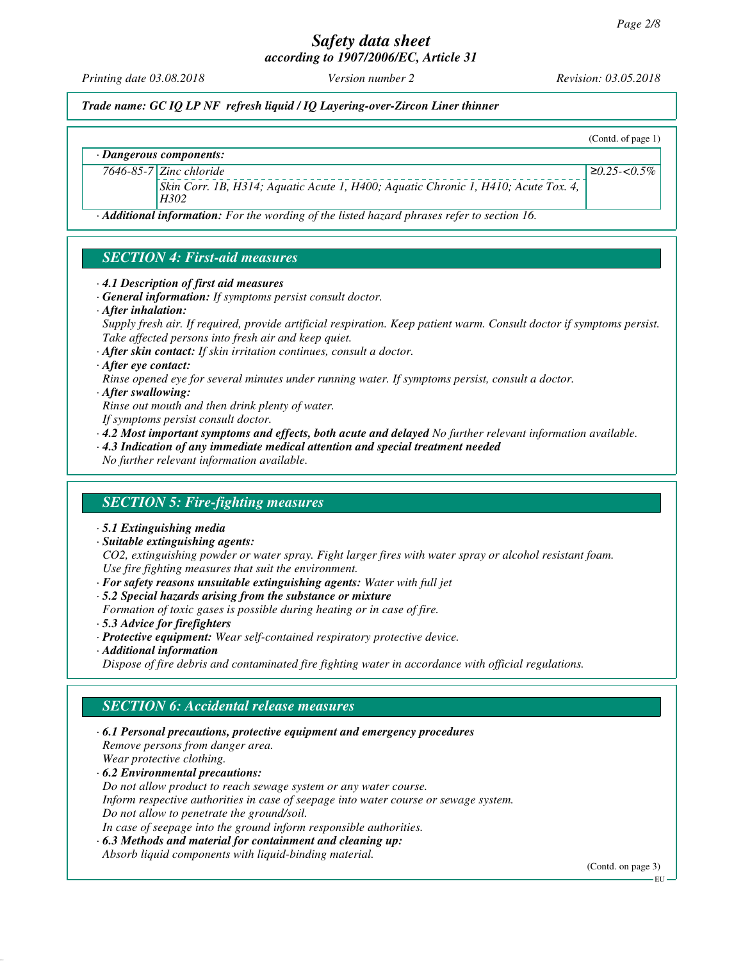*Printing date 03.08.2018 Version number 2 Revision: 03.05.2018*

*Trade name: GC IQ LP NF refresh liquid / IQ Layering-over-Zircon Liner thinner*

*· Dangerous components:*

(Contd. of page 1) ≥*0.25-<0.5%*

*7646-85-7 Zinc chloride*

*Skin Corr. 1B, H314; Aquatic Acute 1, H400; Aquatic Chronic 1, H410; Acute Tox. 4, H302*

*· Additional information: For the wording of the listed hazard phrases refer to section 16.*

# *SECTION 4: First-aid measures*

- *· 4.1 Description of first aid measures*
- *· General information: If symptoms persist consult doctor.*
- *· After inhalation:*

*Supply fresh air. If required, provide artificial respiration. Keep patient warm. Consult doctor if symptoms persist. Take affected persons into fresh air and keep quiet.*

*· After skin contact: If skin irritation continues, consult a doctor.*

- *· After eye contact:*
- *Rinse opened eye for several minutes under running water. If symptoms persist, consult a doctor.*

*· After swallowing:*

*Rinse out mouth and then drink plenty of water.*

- *If symptoms persist consult doctor.*
- *· 4.2 Most important symptoms and effects, both acute and delayed No further relevant information available.*
- *· 4.3 Indication of any immediate medical attention and special treatment needed*

*No further relevant information available.*

### *SECTION 5: Fire-fighting measures*

- *· 5.1 Extinguishing media*
- *· Suitable extinguishing agents:*

*CO2, extinguishing powder or water spray. Fight larger fires with water spray or alcohol resistant foam. Use fire fighting measures that suit the environment.*

*· For safety reasons unsuitable extinguishing agents: Water with full jet*

*· 5.2 Special hazards arising from the substance or mixture Formation of toxic gases is possible during heating or in case of fire.*

- *· 5.3 Advice for firefighters*
- *· Protective equipment: Wear self-contained respiratory protective device.*
- *· Additional information*

*Dispose of fire debris and contaminated fire fighting water in accordance with official regulations.*

### *SECTION 6: Accidental release measures*

*· 6.1 Personal precautions, protective equipment and emergency procedures Remove persons from danger area. Wear protective clothing. · 6.2 Environmental precautions: Do not allow product to reach sewage system or any water course. Inform respective authorities in case of seepage into water course or sewage system.*

*Do not allow to penetrate the ground/soil.*

*In case of seepage into the ground inform responsible authorities.*

*· 6.3 Methods and material for containment and cleaning up:*

*Absorb liquid components with liquid-binding material.*

(Contd. on page 3)

EU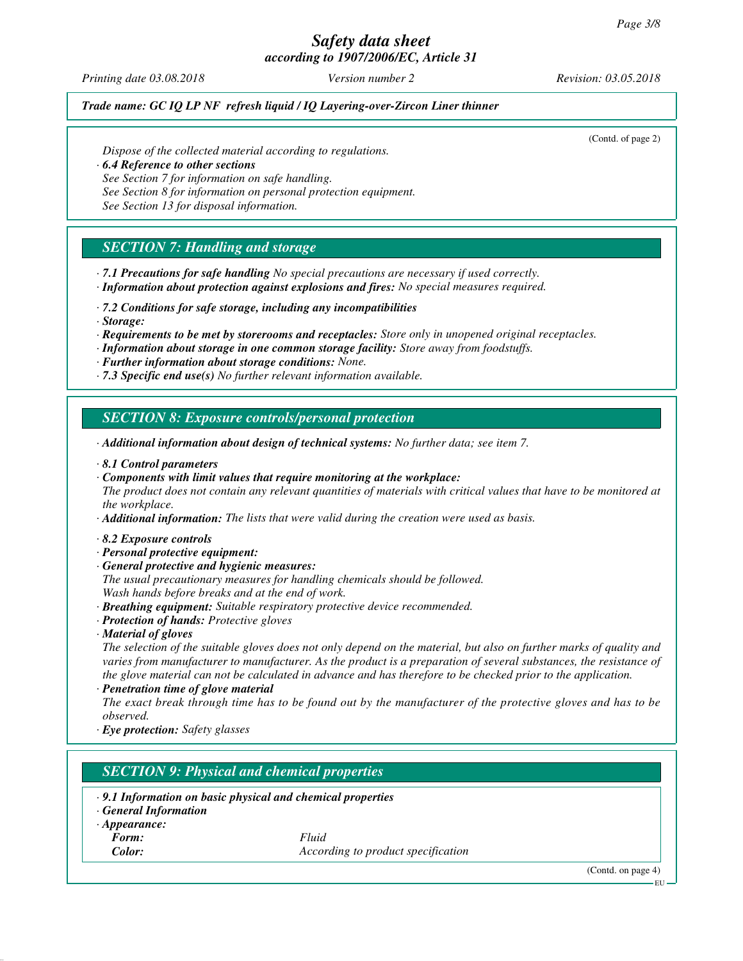*Printing date 03.08.2018 Version number 2 Revision: 03.05.2018*

#### *Trade name: GC IQ LP NF refresh liquid / IQ Layering-over-Zircon Liner thinner*

(Contd. of page 2)

*Dispose of the collected material according to regulations.*

*· 6.4 Reference to other sections*

*See Section 7 for information on safe handling.*

*See Section 8 for information on personal protection equipment.*

*See Section 13 for disposal information.*

# *SECTION 7: Handling and storage*

- *· 7.1 Precautions for safe handling No special precautions are necessary if used correctly.*
- *· Information about protection against explosions and fires: No special measures required.*
- *· 7.2 Conditions for safe storage, including any incompatibilities*
- *· Storage:*
- *· Requirements to be met by storerooms and receptacles: Store only in unopened original receptacles.*
- *· Information about storage in one common storage facility: Store away from foodstuffs.*
- *· Further information about storage conditions: None.*
- *· 7.3 Specific end use(s) No further relevant information available.*

## *SECTION 8: Exposure controls/personal protection*

- *· Additional information about design of technical systems: No further data; see item 7.*
- *· 8.1 Control parameters*
- *· Components with limit values that require monitoring at the workplace:*
- *The product does not contain any relevant quantities of materials with critical values that have to be monitored at the workplace.*

*· Additional information: The lists that were valid during the creation were used as basis.*

- *· 8.2 Exposure controls*
- *· Personal protective equipment:*
- *· General protective and hygienic measures:*
- *The usual precautionary measures for handling chemicals should be followed. Wash hands before breaks and at the end of work.*
- *· Breathing equipment: Suitable respiratory protective device recommended.*
- *· Protection of hands: Protective gloves*
- *· Material of gloves*

*The selection of the suitable gloves does not only depend on the material, but also on further marks of quality and varies from manufacturer to manufacturer. As the product is a preparation of several substances, the resistance of the glove material can not be calculated in advance and has therefore to be checked prior to the application.*

*· Penetration time of glove material*

*The exact break through time has to be found out by the manufacturer of the protective gloves and has to be observed.*

*· Eye protection: Safety glasses*

# *SECTION 9: Physical and chemical properties*

- *· 9.1 Information on basic physical and chemical properties*
- *· General Information*
- *· Appearance:*
	-

*Form: Fluid Color: According to product specification*

(Contd. on page 4)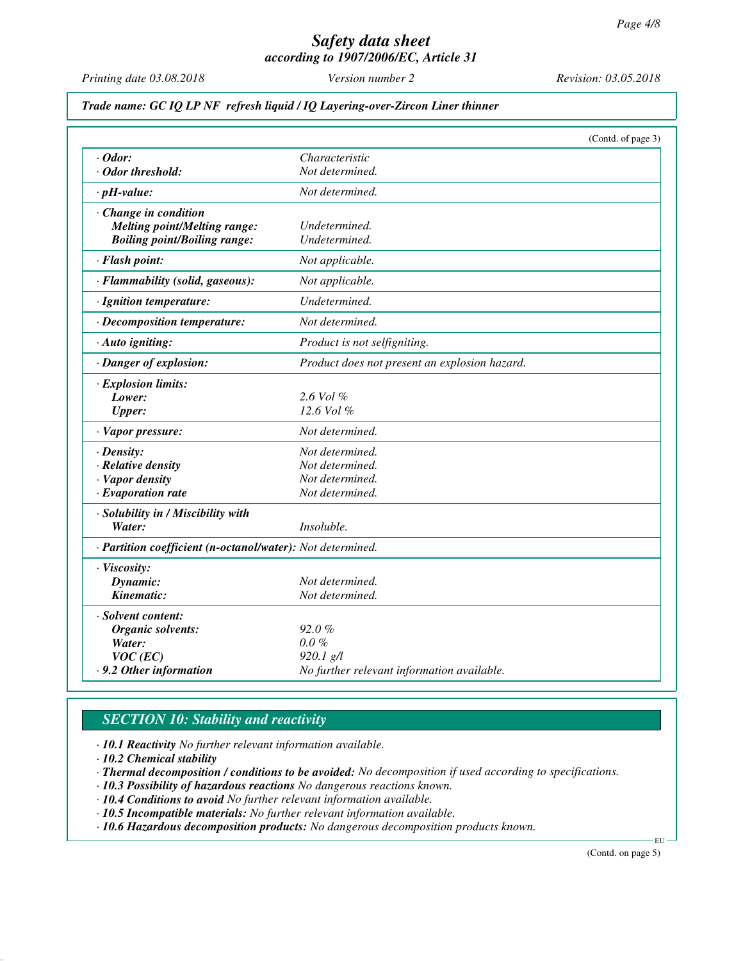*Printing date 03.08.2018 Version number 2 Revision: 03.05.2018*

#### *Trade name: GC IQ LP NF refresh liquid / IQ Layering-over-Zircon Liner thinner*

|                                                            |                                               | (Contd. of page 3) |
|------------------------------------------------------------|-----------------------------------------------|--------------------|
| $\cdot$ Odor:                                              | Characteristic                                |                    |
| · Odor threshold:                                          | Not determined.                               |                    |
| $\cdot$ pH-value:                                          | Not determined.                               |                    |
| Change in condition                                        |                                               |                    |
| <b>Melting point/Melting range:</b>                        | Undetermined.                                 |                    |
| <b>Boiling point/Boiling range:</b>                        | Undetermined.                                 |                    |
| · Flash point:                                             | Not applicable.                               |                    |
| · Flammability (solid, gaseous):                           | Not applicable.                               |                    |
| · Ignition temperature:                                    | Undetermined.                                 |                    |
| · Decomposition temperature:                               | Not determined.                               |                    |
| · Auto igniting:                                           | Product is not selfigniting.                  |                    |
| · Danger of explosion:                                     | Product does not present an explosion hazard. |                    |
| · Explosion limits:                                        |                                               |                    |
| Lower:                                                     | $2.6$ Vol $%$                                 |                    |
| <b>Upper:</b>                                              | $12.6$ Vol $%$                                |                    |
| · Vapor pressure:                                          | Not determined.                               |                    |
| $\cdot$ Density:                                           | Not determined.                               |                    |
| · Relative density                                         | Not determined.                               |                    |
| · Vapor density                                            | Not determined.                               |                    |
| $\cdot$ Evaporation rate                                   | Not determined.                               |                    |
| · Solubility in / Miscibility with                         |                                               |                    |
| Water:                                                     | Insoluble.                                    |                    |
| · Partition coefficient (n-octanol/water): Not determined. |                                               |                    |
| · Viscosity:                                               |                                               |                    |
| Dynamic:                                                   | Not determined.                               |                    |
| Kinematic:                                                 | Not determined.                               |                    |
| · Solvent content:                                         |                                               |                    |
| <b>Organic solvents:</b>                                   | 92.0%                                         |                    |
| Water:                                                     | $0.0 \%$                                      |                    |
| $VOC$ (EC)                                                 | $920.1$ g/l                                   |                    |
| .9.2 Other information                                     | No further relevant information available.    |                    |

# *SECTION 10: Stability and reactivity*

*· 10.1 Reactivity No further relevant information available.*

*· 10.2 Chemical stability*

*· Thermal decomposition / conditions to be avoided: No decomposition if used according to specifications.*

*· 10.3 Possibility of hazardous reactions No dangerous reactions known.*

*· 10.4 Conditions to avoid No further relevant information available.*

*· 10.5 Incompatible materials: No further relevant information available.*

*· 10.6 Hazardous decomposition products: No dangerous decomposition products known.*

(Contd. on page 5)

EU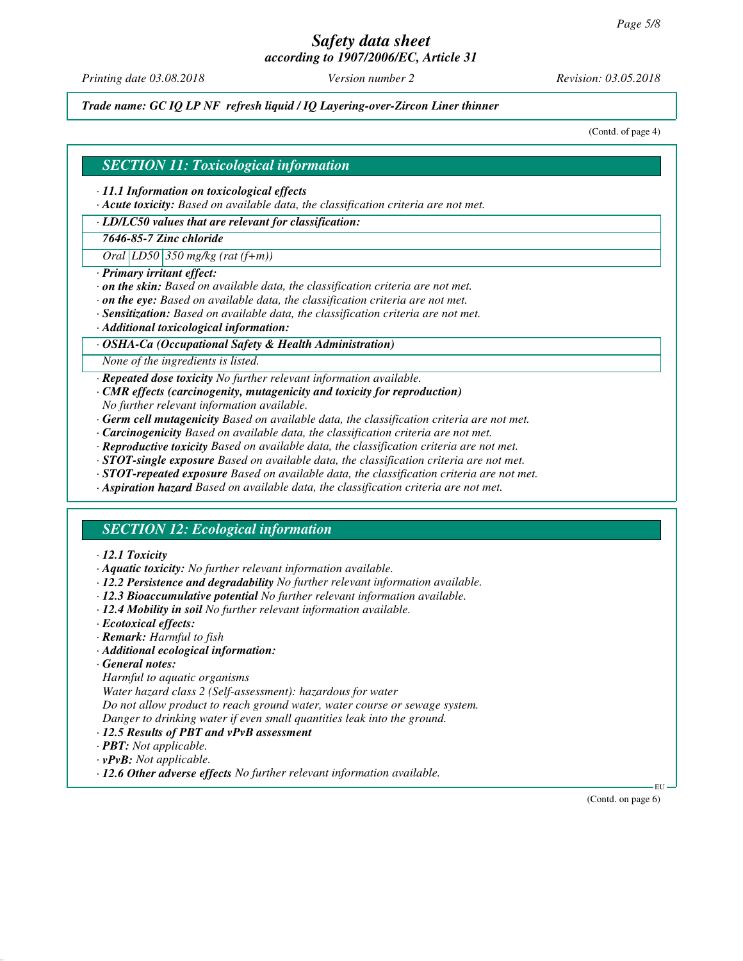# *Safety data sheet*

*according to 1907/2006/EC, Article 31*

*Printing date 03.08.2018 Version number 2 Revision: 03.05.2018*

*Trade name: GC IQ LP NF refresh liquid / IQ Layering-over-Zircon Liner thinner*

(Contd. of page 4)

#### *SECTION 11: Toxicological information*

- *· 11.1 Information on toxicological effects*
- *· Acute toxicity: Based on available data, the classification criteria are not met.*

#### *· LD/LC50 values that are relevant for classification:*

*7646-85-7 Zinc chloride*

*Oral LD50 350 mg/kg (rat (f+m))*

- *· Primary irritant effect:*
- *· on the skin: Based on available data, the classification criteria are not met.*
- *· on the eye: Based on available data, the classification criteria are not met.*
- *· Sensitization: Based on available data, the classification criteria are not met.*
- *· Additional toxicological information:*

#### *· OSHA-Ca (Occupational Safety & Health Administration)*

*None of the ingredients is listed.*

*· Repeated dose toxicity No further relevant information available.*

- *· CMR effects (carcinogenity, mutagenicity and toxicity for reproduction) No further relevant information available.*
- *· Germ cell mutagenicity Based on available data, the classification criteria are not met.*
- *· Carcinogenicity Based on available data, the classification criteria are not met.*
- *· Reproductive toxicity Based on available data, the classification criteria are not met.*
- *· STOT-single exposure Based on available data, the classification criteria are not met.*
- *· STOT-repeated exposure Based on available data, the classification criteria are not met.*
- *· Aspiration hazard Based on available data, the classification criteria are not met.*

### *SECTION 12: Ecological information*

#### *· 12.1 Toxicity*

- *· Aquatic toxicity: No further relevant information available.*
- *· 12.2 Persistence and degradability No further relevant information available.*
- *· 12.3 Bioaccumulative potential No further relevant information available.*
- *· 12.4 Mobility in soil No further relevant information available.*
- *· Ecotoxical effects:*
- *· Remark: Harmful to fish*
- *· Additional ecological information:*
- *· General notes:*
- *Harmful to aquatic organisms*
- *Water hazard class 2 (Self-assessment): hazardous for water*

*Do not allow product to reach ground water, water course or sewage system.*

- *Danger to drinking water if even small quantities leak into the ground.*
- *· 12.5 Results of PBT and vPvB assessment*
- *· PBT: Not applicable.*
- *· vPvB: Not applicable.*
- *· 12.6 Other adverse effects No further relevant information available.*

(Contd. on page 6)

EU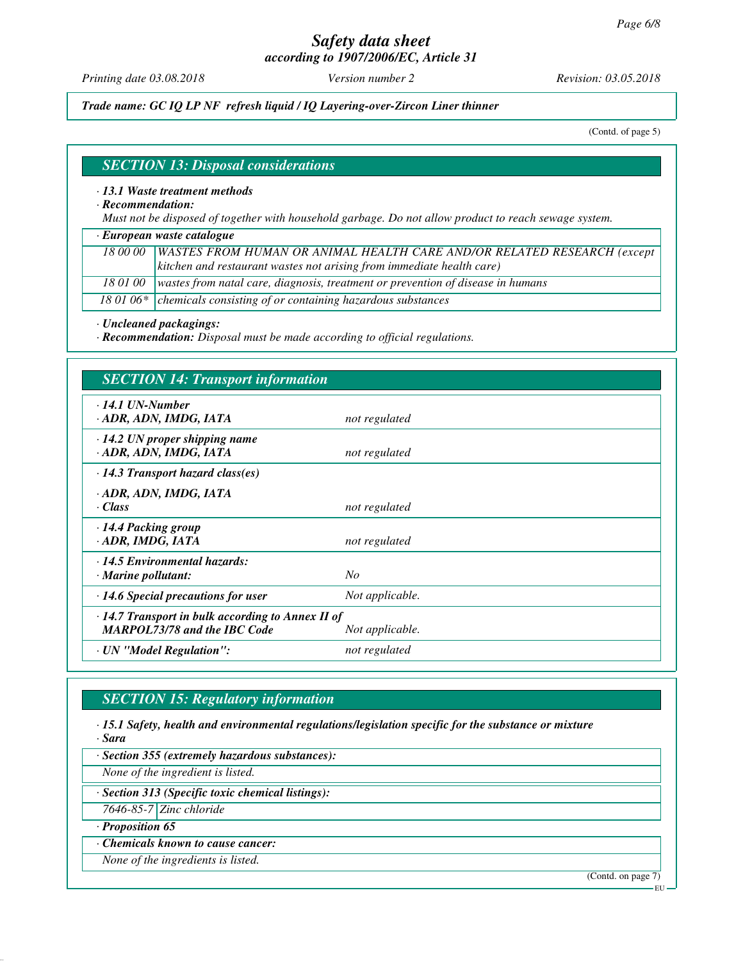# *Safety data sheet*

*according to 1907/2006/EC, Article 31*

*Printing date 03.08.2018 Version number 2 Revision: 03.05.2018*

*Trade name: GC IQ LP NF refresh liquid / IQ Layering-over-Zircon Liner thinner*

(Contd. of page 5)

#### *SECTION 13: Disposal considerations*

*· 13.1 Waste treatment methods*

*· Recommendation:*

*Must not be disposed of together with household garbage. Do not allow product to reach sewage system.*

*· European waste catalogue*

*18 00 00 WASTES FROM HUMAN OR ANIMAL HEALTH CARE AND/OR RELATED RESEARCH (except kitchen and restaurant wastes not arising from immediate health care)*

*18 01 00 wastes from natal care, diagnosis, treatment or prevention of disease in humans*

18 01 06\* chemicals consisting of or containing hazardous substances

*· Uncleaned packagings:*

*· Recommendation: Disposal must be made according to official regulations.*

| <b>SECTION 14: Transport information</b>                                                       |                 |
|------------------------------------------------------------------------------------------------|-----------------|
| $\cdot$ 14.1 UN-Number<br>· ADR, ADN, IMDG, IATA                                               | not regulated   |
| $\cdot$ 14.2 UN proper shipping name<br>· ADR, ADN, IMDG, IATA                                 | not regulated   |
| $\cdot$ 14.3 Transport hazard class(es)                                                        |                 |
| · ADR, ADN, IMDG, IATA<br>· Class                                                              | not regulated   |
| 14.4 Packing group<br>ADR, IMDG, IATA                                                          | not regulated   |
| · 14.5 Environmental hazards:<br>· Marine pollutant:                                           | N <sub>O</sub>  |
| $\cdot$ 14.6 Special precautions for user                                                      | Not applicable. |
| $\cdot$ 14.7 Transport in bulk according to Annex II of<br><b>MARPOL73/78 and the IBC Code</b> | Not applicable. |
| · UN "Model Regulation":                                                                       | not regulated   |

# *SECTION 15: Regulatory information*

*· 15.1 Safety, health and environmental regulations/legislation specific for the substance or mixture · Sara*

*· Section 355 (extremely hazardous substances):*

*None of the ingredient is listed.*

*· Section 313 (Specific toxic chemical listings):*

*7646-85-7 Zinc chloride*

*· Proposition 65*

*· Chemicals known to cause cancer:*

*None of the ingredients is listed.*

(Contd. on page 7)

EU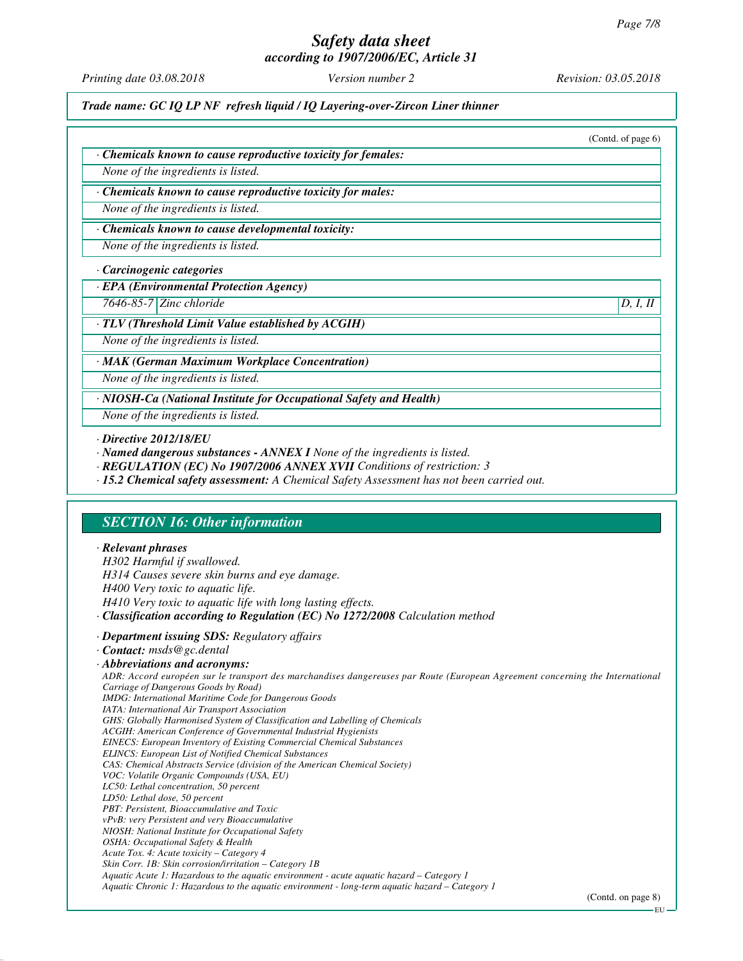# *Safety data sheet*

*according to 1907/2006/EC, Article 31*

*Printing date 03.08.2018 Version number 2 Revision: 03.05.2018*

*Trade name: GC IQ LP NF refresh liquid / IQ Layering-over-Zircon Liner thinner*

|                                                               | (Contd. of page $6$ ) |
|---------------------------------------------------------------|-----------------------|
| · Chemicals known to cause reproductive toxicity for females: |                       |
| None of the ingredients is listed.                            |                       |
| · Chemicals known to cause reproductive toxicity for males:   |                       |
| None of the ingredients is listed.                            |                       |
| · Chemicals known to cause developmental toxicity:            |                       |
| None of the ingredients is listed.                            |                       |
| · Carcinogenic categories                                     |                       |
| $\cdot$ EPA (Environmental Protection Agency)                 |                       |

*7646-85-7 Zinc chloride D, I, II*

#### *· TLV (Threshold Limit Value established by ACGIH)*

*None of the ingredients is listed.*

*· MAK (German Maximum Workplace Concentration)*

*None of the ingredients is listed.*

*· NIOSH-Ca (National Institute for Occupational Safety and Health)*

*None of the ingredients is listed.*

- *· Named dangerous substances ANNEX I None of the ingredients is listed.*
- *· REGULATION (EC) No 1907/2006 ANNEX XVII Conditions of restriction: 3*
- *· 15.2 Chemical safety assessment: A Chemical Safety Assessment has not been carried out.*

# *SECTION 16: Other information*

#### *· Relevant phrases*

*H302 Harmful if swallowed. H314 Causes severe skin burns and eye damage. H400 Very toxic to aquatic life. H410 Very toxic to aquatic life with long lasting effects. · Classification according to Regulation (EC) No 1272/2008 Calculation method*

*· Department issuing SDS: Regulatory affairs*

#### *· Contact: msds@gc.dental*

*· Abbreviations and acronyms: ADR: Accord européen sur le transport des marchandises dangereuses par Route (European Agreement concerning the International Carriage of Dangerous Goods by Road) IMDG: International Maritime Code for Dangerous Goods IATA: International Air Transport Association GHS: Globally Harmonised System of Classification and Labelling of Chemicals ACGIH: American Conference of Governmental Industrial Hygienists EINECS: European Inventory of Existing Commercial Chemical Substances ELINCS: European List of Notified Chemical Substances CAS: Chemical Abstracts Service (division of the American Chemical Society) VOC: Volatile Organic Compounds (USA, EU) LC50: Lethal concentration, 50 percent LD50: Lethal dose, 50 percent PBT: Persistent, Bioaccumulative and Toxic vPvB: very Persistent and very Bioaccumulative NIOSH: National Institute for Occupational Safety OSHA: Occupational Safety & Health Acute Tox. 4: Acute toxicity – Category 4 Skin Corr. 1B: Skin corrosion/irritation – Category 1B Aquatic Acute 1: Hazardous to the aquatic environment - acute aquatic hazard – Category 1 Aquatic Chronic 1: Hazardous to the aquatic environment - long-term aquatic hazard – Category 1*

*<sup>·</sup> Directive 2012/18/EU*